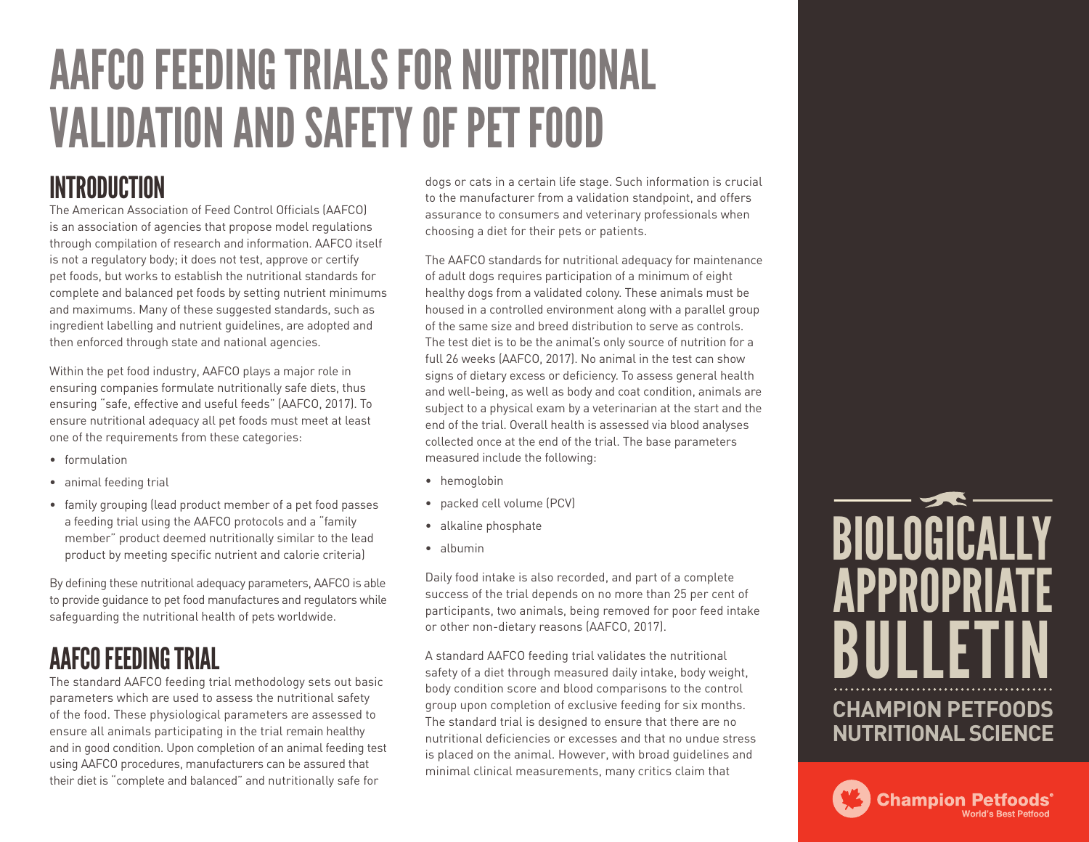# AAFCO FEEDING TRIALS FOR NUTRITIONAL VALIDATION AND SAFETY OF PET FOOD

### INTRODUCTION

The American Association of Feed Control Officials (AAFCO) is an association of agencies that propose model regulations through compilation of research and information. AAFCO itself is not a regulatory body; it does not test, approve or certify pet foods, but works to establish the nutritional standards for complete and balanced pet foods by setting nutrient minimums and maximums. Many of these suggested standards, such as ingredient labelling and nutrient guidelines, are adopted and then enforced through state and national agencies.

Within the pet food industry, AAFCO plays a major role in ensuring companies formulate nutritionally safe diets, thus ensuring "safe, effective and useful feeds" (AAFCO, 2017). To ensure nutritional adequacy all pet foods must meet at least one of the requirements from these categories:

- formulation
- animal feeding trial
- family grouping (lead product member of a pet food passes a feeding trial using the AAFCO protocols and a "family member" product deemed nutritionally similar to the lead product by meeting specific nutrient and calorie criteria)

By defining these nutritional adequacy parameters, AAFCO is able to provide guidance to pet food manufactures and regulators while safeguarding the nutritional health of pets worldwide.

#### AAFCO FEEDING TRIAL

The standard AAFCO feeding trial methodology sets out basic parameters which are used to assess the nutritional safety of the food. These physiological parameters are assessed to ensure all animals participating in the trial remain healthy and in good condition. Upon completion of an animal feeding test using AAFCO procedures, manufacturers can be assured that their diet is "complete and balanced" and nutritionally safe for

dogs or cats in a certain life stage. Such information is crucial to the manufacturer from a validation standpoint, and offers assurance to consumers and veterinary professionals when choosing a diet for their pets or patients.

The AAFCO standards for nutritional adequacy for maintenance of adult dogs requires participation of a minimum of eight healthy dogs from a validated colony. These animals must be housed in a controlled environment along with a parallel group of the same size and breed distribution to serve as controls. The test diet is to be the animal's only source of nutrition for a full 26 weeks (AAFCO, 2017). No animal in the test can show signs of dietary excess or deficiency. To assess general health and well-being, as well as body and coat condition, animals are subject to a physical exam by a veterinarian at the start and the end of the trial. Overall health is assessed via blood analyses collected once at the end of the trial. The base parameters measured include the following:

- hemoglobin
- packed cell volume (PCV)
- alkaline phosphate
- albumin

Daily food intake is also recorded, and part of a complete success of the trial depends on no more than 25 per cent of participants, two animals, being removed for poor feed intake or other non-dietary reasons (AAFCO, 2017).

A standard AAFCO feeding trial validates the nutritional safety of a diet through measured daily intake, body weight, body condition score and blood comparisons to the control group upon completion of exclusive feeding for six months. The standard trial is designed to ensure that there are no nutritional deficiencies or excesses and that no undue stress is placed on the animal. However, with broad guidelines and minimal clinical measurements, many critics claim that



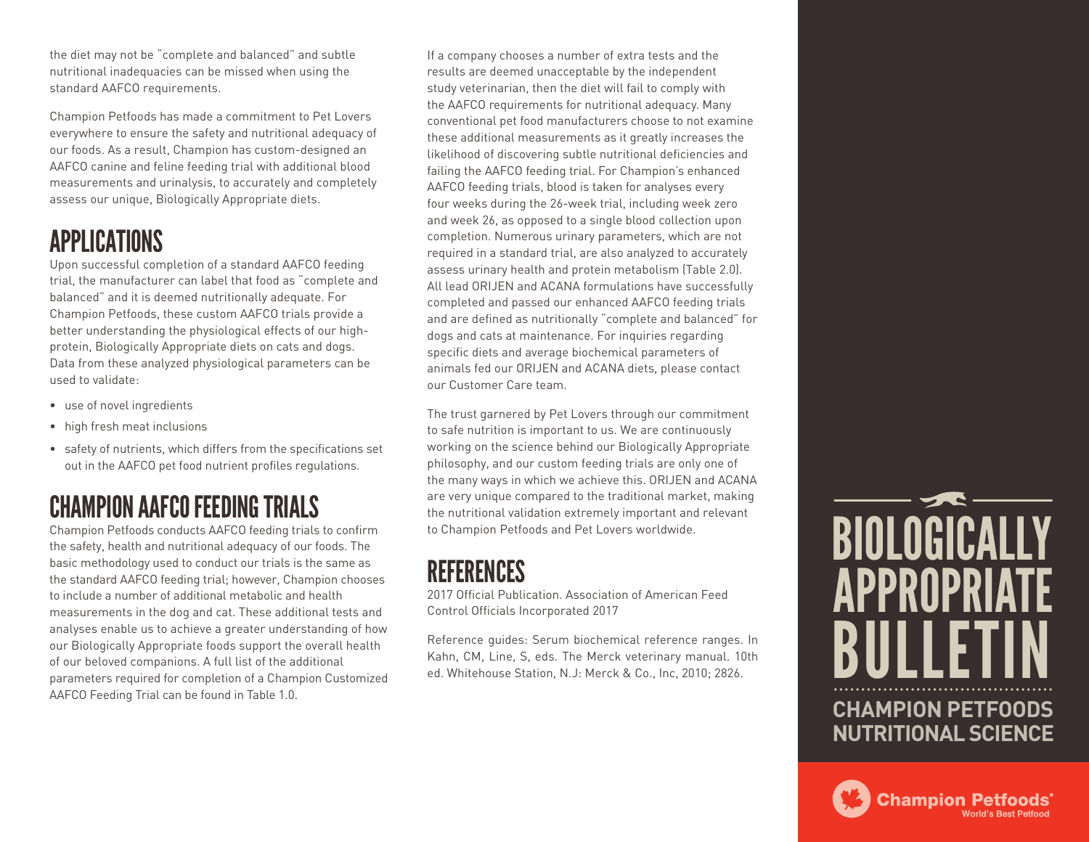the diet may not be "complete and balanced" and subtle nutritional inadequacies can be missed when using the standard AAFCO requirements.

Champion Petfoods has made a commitment to Pet Lovers everywhere to ensure the safety and nutritional adequacy of our foods. As a result, Champion has custom-designed an AAFCO canine and feline feeding trial with additional blood measurements and urinalysis, to accurately and completely assess our unique, Biologically Appropriate diets.

#### APPLICATIONS

Upon successful completion of a standard AAFCO feeding trial, the manufacturer can label that food as "complete and balanced" and it is deemed nutritionally adequate. For Champion Petfoods, these custom AAFCO trials provide a better understanding the physiological effects of our highprotein, Biologically Appropriate diets on cats and dogs. Data from these analyzed physiological parameters can be used to validate:

- use of novel ingredients
- high fresh meat inclusions
- safety of nutrients, which differs from the specifications set out in the AAFCO pet food nutrient profiles regulations.

### CHAMPION AAFCO FEEDING TRIALS

Champion Petfoods conducts AAFCO feeding trials to confirm the safety, health and nutritional adequacy of our foods. The basic methodology used to conduct our trials is the same as the standard AAFCO feeding trial; however, Champion chooses to include a number of additional metabolic and health measurements in the dog and cat. These additional tests and analyses enable us to achieve a greater understanding of how our Biologically Appropriate foods support the overall health of our beloved companions. A full list of the additional parameters required for completion of a Champion Customized AAFCO Feeding Trial can be found in Table 1.0.

If a company chooses a number of extra tests and the results are deemed unacceptable by the independent study veterinarian, then the diet will fail to comply with the AAFCO requirements for nutritional adequacy. Many conventional pet food manufacturers choose to not examine these additional measurements as it greatly increases the likelihood of discovering subtle nutritional deficiencies and failing the AAFCO feeding trial. For Champion's enhanced AAFCO feeding trials, blood is taken for analyses every four weeks during the 26-week trial, including week zero and week 26, as opposed to a single blood collection upon completion. Numerous urinary parameters, which are not required in a standard trial, are also analyzed to accurately assess urinary health and protein metabolism (Table 2.0). All lead ORIJEN and ACANA formulations have successfully completed and passed our enhanced AAFCO feeding trials and are defined as nutritionally "complete and balanced" for dogs and cats at maintenance. For inquiries regarding specific diets and average biochemical parameters of animals fed our ORIJEN and ACANA diets, please contact our Customer Care team.

The trust garnered by Pet Lovers through our commitment to safe nutrition is important to us. We are continuously working on the science behind our Biologically Appropriate philosophy, and our custom feeding trials are only one of the many ways in which we achieve this. ORIJEN and ACANA are very unique compared to the traditional market, making the nutritional validation extremely important and relevant to Champion Petfoods and Pet Lovers worldwide.

#### REFERENCES

2017 Official Publication. Association of American Feed Control Officials Incorporated 2017

Reference guides: Serum biochemical reference ranges. In Kahn, CM, Line, S, eds. The Merck veterinary manual. 10th ed. Whitehouse Station, N.J: Merck & Co., Inc, 2010; 2826.



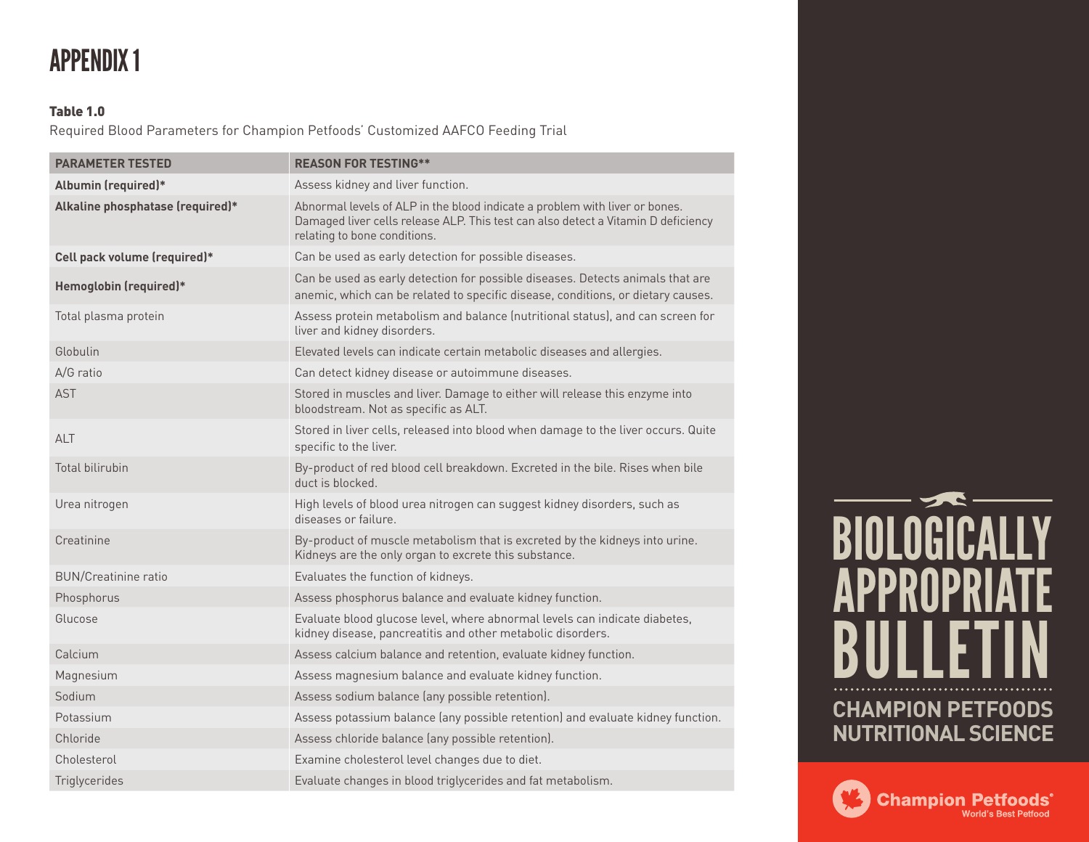### APPENDIX 1

#### Table 1.0

Required Blood Parameters for Champion Petfoods' Customized AAFCO Feeding Trial

| <b>PARAMETER TESTED</b>          | <b>REASON FOR TESTING**</b>                                                                                                                                                                      |
|----------------------------------|--------------------------------------------------------------------------------------------------------------------------------------------------------------------------------------------------|
| Albumin (required)*              | Assess kidney and liver function.                                                                                                                                                                |
| Alkaline phosphatase (required)* | Abnormal levels of ALP in the blood indicate a problem with liver or bones.<br>Damaged liver cells release ALP. This test can also detect a Vitamin D deficiency<br>relating to bone conditions. |
| Cell pack volume (required)*     | Can be used as early detection for possible diseases.                                                                                                                                            |
| Hemoglobin (required)*           | Can be used as early detection for possible diseases. Detects animals that are<br>anemic, which can be related to specific disease, conditions, or dietary causes.                               |
| Total plasma protein             | Assess protein metabolism and balance (nutritional status), and can screen for<br>liver and kidney disorders.                                                                                    |
| Globulin                         | Elevated levels can indicate certain metabolic diseases and allergies.                                                                                                                           |
| A/G ratio                        | Can detect kidney disease or autoimmune diseases.                                                                                                                                                |
| <b>AST</b>                       | Stored in muscles and liver. Damage to either will release this enzyme into<br>bloodstream. Not as specific as ALT.                                                                              |
| <b>ALT</b>                       | Stored in liver cells, released into blood when damage to the liver occurs. Quite<br>specific to the liver.                                                                                      |
| <b>Total bilirubin</b>           | By-product of red blood cell breakdown. Excreted in the bile. Rises when bile<br>duct is blocked.                                                                                                |
| Urea nitrogen                    | High levels of blood urea nitrogen can suggest kidney disorders, such as<br>diseases or failure.                                                                                                 |
| Creatinine                       | By-product of muscle metabolism that is excreted by the kidneys into urine.<br>Kidneys are the only organ to excrete this substance.                                                             |
| <b>BUN/Creatinine ratio</b>      | Evaluates the function of kidneys.                                                                                                                                                               |
| Phosphorus                       | Assess phosphorus balance and evaluate kidney function.                                                                                                                                          |
| Glucose                          | Evaluate blood glucose level, where abnormal levels can indicate diabetes,<br>kidney disease, pancreatitis and other metabolic disorders.                                                        |
| Calcium                          | Assess calcium balance and retention, evaluate kidney function.                                                                                                                                  |
| Magnesium                        | Assess magnesium balance and evaluate kidney function.                                                                                                                                           |
| Sodium                           | Assess sodium balance (any possible retention).                                                                                                                                                  |
| Potassium                        | Assess potassium balance (any possible retention) and evaluate kidney function.                                                                                                                  |
| Chloride                         | Assess chloride balance (any possible retention).                                                                                                                                                |
| Cholesterol                      | Examine cholesterol level changes due to diet.                                                                                                                                                   |
| Triglycerides                    | Evaluate changes in blood triglycerides and fat metabolism.                                                                                                                                      |



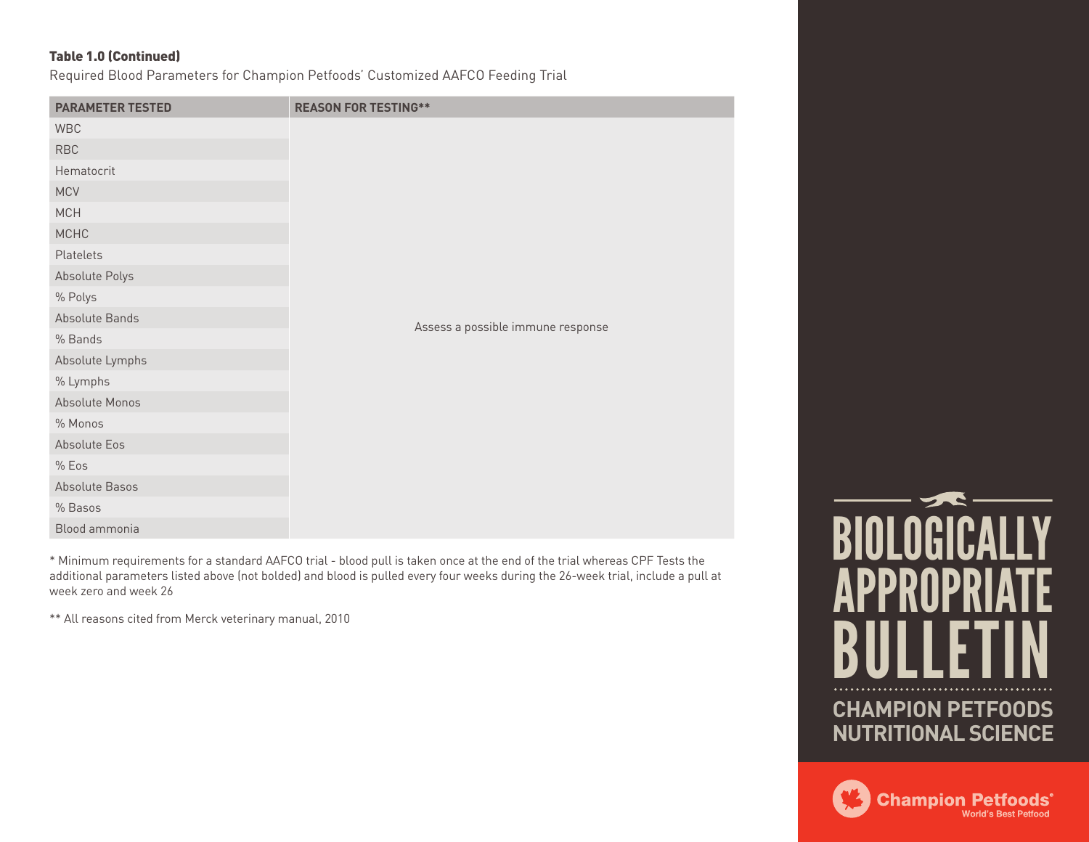#### Table 1.0 (Continued)

Required Blood Parameters for Champion Petfoods' Customized AAFCO Feeding Trial

| <b>PARAMETER TESTED</b> | <b>REASON FOR TESTING**</b>       |
|-------------------------|-----------------------------------|
| <b>WBC</b>              |                                   |
| <b>RBC</b>              | Assess a possible immune response |
| Hematocrit              |                                   |
| <b>MCV</b>              |                                   |
| MCH                     |                                   |
| MCHC                    |                                   |
| Platelets               |                                   |
| Absolute Polys          |                                   |
| % Polys                 |                                   |
| Absolute Bands          |                                   |
| % Bands                 |                                   |
| Absolute Lymphs         |                                   |
| % Lymphs                |                                   |
| Absolute Monos          |                                   |
| % Monos                 |                                   |
| Absolute Eos            |                                   |
| % Eos                   |                                   |
| Absolute Basos          |                                   |
| % Basos                 |                                   |
| Blood ammonia           |                                   |

\* Minimum requirements for a standard AAFCO trial - blood pull is taken once at the end of the trial whereas CPF Tests the additional parameters listed above (not bolded) and blood is pulled every four weeks during the 26-week trial, include a pull at week zero and week 26

\*\* All reasons cited from Merck veterinary manual, 2010